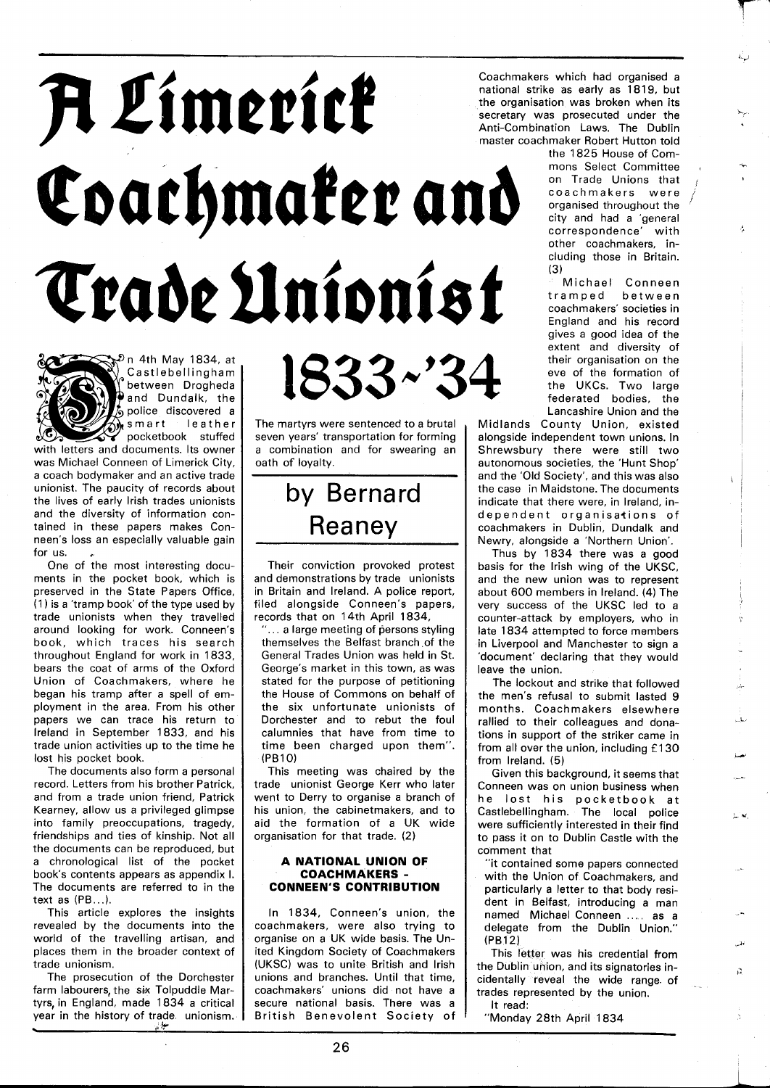# A Limerick Coachmaker and Trade Unionist

 $\mathbb{R}^2$ n 4th May 1834, at  $\big)$  Castlebellingham  $\big\}$ between Drogheda **P** and Dundalk, the police discovered a smart leather pocketbook stuffed

with letters and documents. Its owner was Michael Conneen of Limerick City, a coach bodymaker and an active trade unionist. The paucity of records about the lives of early lrish trades unionists and the diversity of information contained in these papers makes Conneen's loss an especially valuable gain for us.

One of the most interesting documents in the pocket book, which is preserved in the State Papers Office, (1 ) is a 'tramp book' of the type used by trade unionists when they travelled around looking for work. Conneen's book, which traces his search throughout England for work in 1833, bears the coat of arms of the Oxford Union of Coachmakers, where he began his tramp after a spell of employment in the area. From his other papers we can trace his return to Ireland in September 1833, and his trade union activities up to the time he lost his pocket book.

The documents also form a personal record. Letters from his brother Patrick, and from a trade union friend, Patrick Kearney, allow us a privileged glimpse into family preoccupations, tragedy, friendships and ties of kinship. Not all the documents can be reproduced, but a chronological list of the pocket book's contents appears as appendix I. The documents are referred to in the text as (PB.. .).

This article explores the insights revealed by the documents into the world of the travelling artisan, and places them in the broader context of trade unionism.

The prosecution of the Dorchester farm labourers, the six Tolpuddle Martyrs, in England, made 1834 a critical year in the history of trade unionism.

The martyrs were sentenced to a brutal seven years' transportation for forming a combination and for swearing an oath of loyalty.

# by Bernard Reaney

Their conviction provoked protest and demonstrations by trade unionists in Britain and Ireland. A police report, filed alongside Conneen's papers, records that on 14th April 1834,

 $"...$  a large meeting of persons styling themselves the Belfast branch of the General Trades Union was held in St. George's market in this town, as was stated for the purpose of petitioning the House of Commons on behalf of the six unfortunate unionists of Dorchester and to rebut the foul calumnies that have from time to time been charged upon them". (PBIO)

This meeting was chaired by the trade unionist George Kerr who later went to Derry to organise a branch of his union, the cabinetmakers, and to aid the formation of a UK wide organisation for that trade. (2)

# **A NATIONAL UNION OF COACHMAKERS** - **CONNEEN'S CONTRIBUTION**

In 1834, Conneen's union, the coachmakers, were also trying to organise on a UK wide basis. The United Kingdom Society of Coachmakers (UKSC) was to unite British and lrish unions and branches. Until that time, coachmakers' unions did not have a secure national basis. There was a British Benevolent Society of

Coachmakers which had organised a national strike as early as 1819, but the organisation was broken when its secretary was prosecuted under the Anti-Combination Laws. The Dublin master coachmaker Robert Hutton told

the 1825 House of Commons Select Committee on Trade Unions that<br>coachmakers were organised throughout the i city and had a 'general correspondence' with ! other coachmakers, including those in Britain. (3)

Michael Conneen tramped coachmakers' societies in Enqland and his record gives a good idea of the extent and diversity of<br>their organisation on the  $1833~$   $-34$  ; their organisation on the ever of the formation of the CKCs. Two large Lancashire Union and the

Midlands County Union, existed alongside independent town unions. In Shrewsbury there were still two autonomous societies, the 'Hunt Shop' and the 'Old Society', and this was also the case in Maidstone. The documents indicate that there were, in Ireland, independent organisations of coachmakers in Dublin, Dundalk and Newry, alongside a 'Northern Union'.

Thus by 1834 there was a good basis for the lrish wing of the UKSC, and the new union was to represent about 600 members in Ireland. (4) The very success of the UKSC led to a counter-attack by employers, who in late 1834 attempted to force members in Liverpool and Manchester to sign a 'document' declaring that they would leave the union.

The lockout and strike that followed the men's refusal to submit lasted 9 months. Coachmakers elsewhere rallied to their colleagues and donations in support of the striker came in from all over the union, including £130 from Ireland. (5)

Given this background, it seems that Conneen was on union business when he lost his pocketbook at Castlebellingham. The local police were sufficiently interested in their find to pass it on to Dublin Castle with the comment that

"it contained some papers connected with the Union of Coachmakers, and particularly a letter to that body resident in Belfast, introducing a man named Michael Conneen .... as a delegate from the Dublin Union." (PBI 2)

This letter was his credential from the Dublin union, and its signatories incidentally reveal the wide range. of trades represented by the union. It read:

ň

"Monday 28th April 1834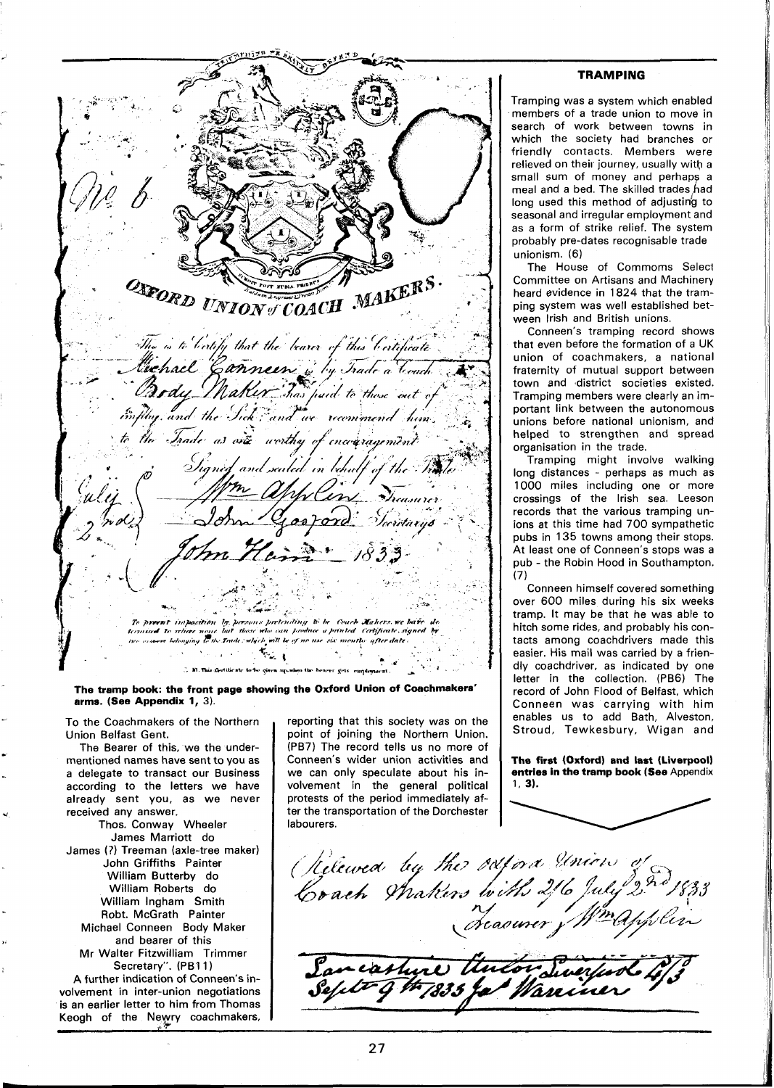وبخ ONFORD UNION COACH MAKERS The is to bothy that the bearer of this bortificate Michael Canneen is by Trade a Touch the Trade as one worthy of Signed and sailed in thulf of the Th Gosford Decidarys To present imposition by persons pertending to be Coach Mahers we bave . To religie name but thase who can produce a printed Certificate &<br>re belonging to the Irade : which will be of no use six months after date . bo can produce a printed Certificate signed 松川 C. M. This Gertificate to be given up, when the bearer gets emplo

The tramp book: the front page showing the Oxford Union of Coachmakers' **arms. (See Appendix 1, 3).** 

To the Coachmakers of the Northern Union Belfast Gent.

The Bearer of this, we the undermentioned names have sent to you as a delegate to transact our Business according to the letters we have already sent you, as we never received any answer.

Thos. Conway Wheeler James Marriott do James (?) Treeman (axle-tree maker) John Griffiths Painter William Butterby do William Roberts do William lngham Smith Robt. McGrath Painter Michael Conneen Body Maker **,.** and bearer of this Mr Walter Fitzwilliam Trimmer Secretary". (PB11) **A** further indication of Conneen's in-

volvement in inter-union negotiations is an earlier letter to him from Thomas Keogh of the Neyry coachmakers,

reporting that this society was on the point of joining the Northern Union. (PB7) The record tells us no more of Conneen's wider union activities and we can only speculate about his involvement in the general political protests of the period immediately after the transportation of the Dorchester labourers.

# **TRAMPING**

Tramping was a system which enabled members of a trade union to move in search of work between towns in which the society had branches or friendly contacts. Members were relieved on their journey, usually with a small sum of money and perhaps a meal and a bed. The skilled trades had long used this method of adjusting to seasonal and irregular employment and as a form of strike relief. The system probably pre-dates recognisable trade unionism. (6)

The House of Commoms Select Committee on Artisans and Machinery heard evidence in 1824 that the tramping system was well established between lrish and British unions.

Conneen's tramping record shows that even before the formation of a UK union of coachmakers, a national fraternity of mutual support between town and district societies existed. Tramping members were clearly an important link between the autonomous unions before national unionism, and helped to strengthen and spread organisation in the trade.

Tramping might involve walking long distances - perhaps as much as 1000 miles including one or more crossings of the lrish sea. Leeson records that the various tramping unions at this time had 700 sympathetic pubs in 135 towns among their stops. At least one of Conneen's stops was a pub - the Robin Hood in Southampton. (7)

Conneen himself covered something over 600 miles during his six weeks tramp. It may be that he was able to hitch some rides, and probably his contacts among coachdrivers made this easier. His mail was carried by a friendly coachdriver, as indicated by one letter in the collection. (PB6) The record of John Flood of Belfast, which Conneen was carrying with him enables us to add Bath, Alveston, Stroud, Tewkesbury, Wigan and

**The first (Oxford) and last (Liverpool) entries in the tramp book (See Appendix 1. 3).** 

Releved by the oxford Union<br>Crach Wakers with 216 July<br>creasurer f Wing an cashire thulor Sweeter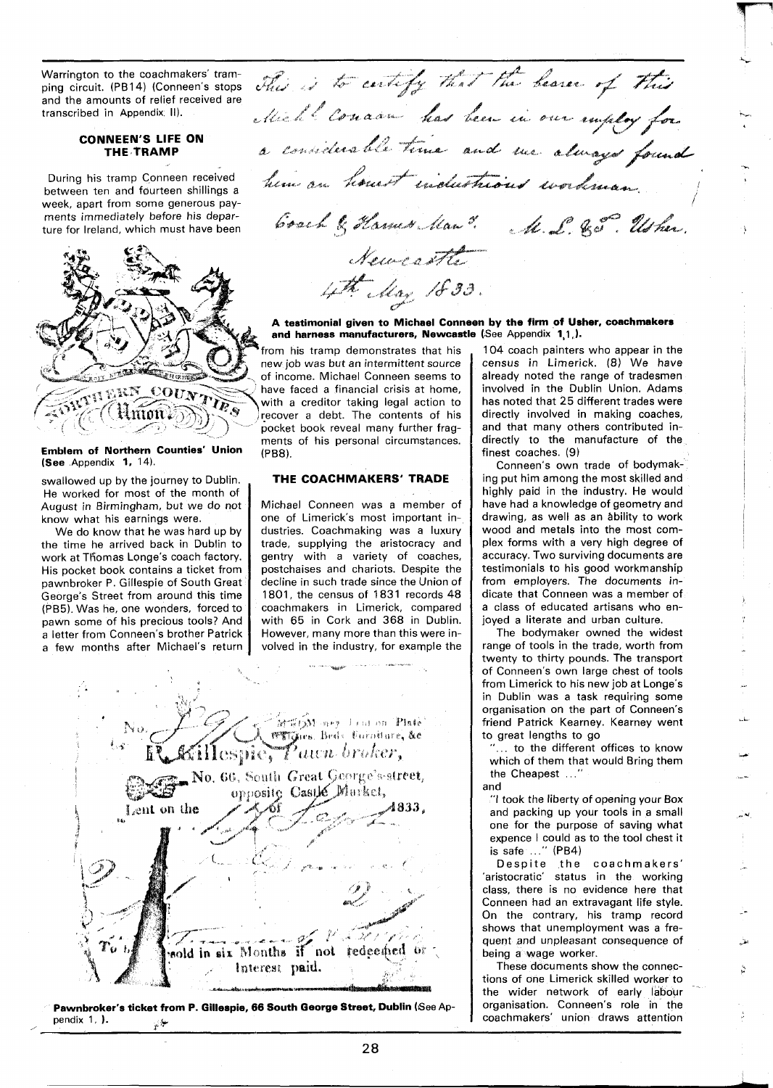ping circuit. (PB14) (Conneen's stops<br>and the amounts of relief received are<br>transcribed in Appendix II).

# **CONNEEN'S LIFE ON THE TRAMP**

During his tramp Conneen received<br>between ten and fourteen shillings a week. aoart from some aenerous pav- **<sup>1</sup>**



## **Emblem of Northern Counties' Union (See** Appendix **1,** 14).

swallowed up by the journey to Dublin. He worked for most of the month of August in Birmingham, but we do not know what his earnings were.

We do know that he was hard up by the time he arrived back in Dublin to work at Tfiomas Longe's coach factory. His pocket book contains a ticket from pawnbroker P. Gillespie of South Great George's Street from around this time (PB5). Was he, one wonders, forced to pawn some of his precious tools? And a letter from Conneen's brother Patrick a few months after Michael's return

Warrington to the coachmakers' tram-<br>ping circuit. (PB14) (Conneen's stops choice is to certify that the bease of this ping circuit. (PB14) (Conneen's stops  $\sqrt{M}$ ,  $\sqrt{N}$  can be  $\sqrt{M}$ ,  $\sqrt{M}$ , because  $\sqrt{M}$ **<sup>L</sup>\$2, I** *9.* \* A% **8** \* **4,** @ . **<sup>g</sup><sup>d</sup>**  $\alpha$  considerable time and we always found between ten and fourteen shillings a ^- **\*U** -. **&\*a"** 5 **e g?&'\* /""f-L**  ments immediately before his depar-<br>ture for Ireland, which must have been **Evach** & *Hamus Man<sup>3</sup>. A. L.* & S. Us her. Neus of the 4th May 1833.

**A testimonial given to Michael Conneen by the firm of Usher, coachmakers** A testimonial given to Michael Conneen by the firm of Using and harness manufacturers, Newcastle (See Appendix 1,1,).

from his tramp demonstrates that his new job was but an intermittent source of income. Michael Conneen seems to have faced a financial crisis at home, with a creditor taking legal action to recover a debt. The contents of his pocket book reveal many further fragments of his personal circumstances. (P88).

# **THE COACHMAKERS' TRADE**

Michael Conneen was a member of one of Limerick's most important industries. Coachmaking was a luxury trade, supplying the aristocracy and gentry with a variety of coaches, postchaises and chariots. Despite the decline in such trade since the Union of 1801, the census of 1831 records 48 coachmakers in Limerick, compared with 65 in Cork and 368 in Dublin. However, many more than this were involved in the industry, for example the



**Pawnbroker's ticket from P. Gillespie, 66 South George Street, Dublin** (See Appendix 1, **}**.

104 coach painters who appear in the census in Limerick. (8) We have already noted the range of tradesmen involved in the Dublin Union. Adams has noted that 25 different trades were directly involved in making coaches, and that many others contributed indirectly to the manufacture of the finest coaches. (9)

Conneen's own trade of bodymaking put him among the most skilled and highly paid in the industry. He would have had a knowledge of geometry and drawing, as well as an ability to work wood and metals into the most complex forms with a very high degree of accuracy. Two surviving documents are testimonials to his good workmanship from employers. The documents indicate that Conneen was a member of a class of educated artisans who enjoyed a literate and urban culture.

The bodymaker owned the widest range of tools in the trade, worth from twenty to thirty pounds. The transport of Conneen's own large chest of tools from Limerick to his new job at Longe's in Dublin was a task requiring some organisation on the part of Conneen's friend Patrick Kearney. Kearney went to great lengths to go

... to the different offices to know which of them that would Bring them the Cheapest ..."

and

"I took the liberty of opening your Box and packing up your tools in a small one for the purpose of saving what expence I could as to the tool chest it is safe ..." (PB4)

Despite the coachmakers' 'aristocratic' status in the working class, there is no evidence here that Conneen had an extravagant life style. On the contrary, his tramp record shows that unemployment was a frequent and unpleasant consequence of being a wage worker.

These documents show the connections of one Limerick skilled worker to the wider network of early labour organisation. Conneen's role in the coachmakers' union draws attention